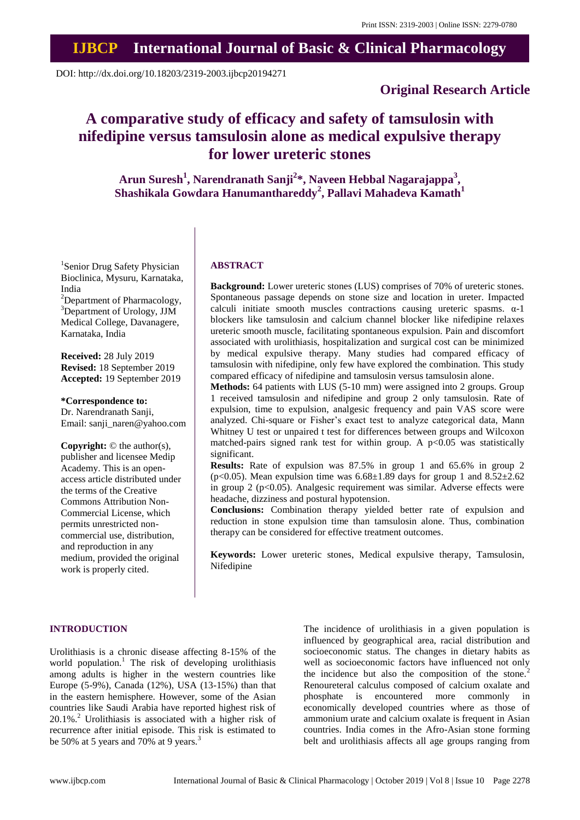## **IJBCP International Journal of Basic & Clinical Pharmacology**

DOI: http://dx.doi.org/10.18203/2319-2003.ijbcp20194271

## **Original Research Article**

# **A comparative study of efficacy and safety of tamsulosin with nifedipine versus tamsulosin alone as medical expulsive therapy for lower ureteric stones**

**Arun Suresh<sup>1</sup> , Narendranath Sanji<sup>2</sup> \*, Naveen Hebbal Nagarajappa<sup>3</sup> , Shashikala Gowdara Hanumanthareddy<sup>2</sup> , Pallavi Mahadeva Kamath<sup>1</sup>**

<sup>1</sup>Senior Drug Safety Physician Bioclinica, Mysuru, Karnataka, India

 ${}^{2}$ Department of Pharmacology, <sup>3</sup>Department of Urology, JJM Medical College, Davanagere, Karnataka, India

**Received:** 28 July 2019 **Revised:** 18 September 2019 **Accepted:** 19 September 2019

#### **\*Correspondence to:**

Dr. Narendranath Sanji, Email: sanji\_naren@yahoo.com

**Copyright:** © the author(s), publisher and licensee Medip Academy. This is an openaccess article distributed under the terms of the Creative Commons Attribution Non-Commercial License, which permits unrestricted noncommercial use, distribution, and reproduction in any medium, provided the original work is properly cited.

## **ABSTRACT**

**Background:** Lower ureteric stones (LUS) comprises of 70% of ureteric stones. Spontaneous passage depends on stone size and location in ureter. Impacted calculi initiate smooth muscles contractions causing ureteric spasms.  $\alpha$ -1 blockers like tamsulosin and calcium channel blocker like nifedipine relaxes ureteric smooth muscle, facilitating spontaneous expulsion. Pain and discomfort associated with urolithiasis, hospitalization and surgical cost can be minimized by medical expulsive therapy. Many studies had compared efficacy of tamsulosin with nifedipine, only few have explored the combination. This study compared efficacy of nifedipine and tamsulosin versus tamsulosin alone.

**Methods:** 64 patients with LUS (5-10 mm) were assigned into 2 groups. Group 1 received tamsulosin and nifedipine and group 2 only tamsulosin. Rate of expulsion, time to expulsion, analgesic frequency and pain VAS score were analyzed. Chi-square or Fisher's exact test to analyze categorical data, Mann Whitney U test or unpaired t test for differences between groups and Wilcoxon matched-pairs signed rank test for within group. A  $p<0.05$  was statistically significant.

**Results:** Rate of expulsion was 87.5% in group 1 and 65.6% in group 2 (p<0.05). Mean expulsion time was  $6.68\pm1.89$  days for group 1 and  $8.52\pm2.62$ in group 2 (p<0.05). Analgesic requirement was similar. Adverse effects were headache, dizziness and postural hypotension.

**Conclusions:** Combination therapy yielded better rate of expulsion and reduction in stone expulsion time than tamsulosin alone. Thus, combination therapy can be considered for effective treatment outcomes.

**Keywords:** Lower ureteric stones, Medical expulsive therapy, Tamsulosin, Nifedipine

#### **INTRODUCTION**

Urolithiasis is a chronic disease affecting 8-15% of the world population.<sup>1</sup> The risk of developing urolithiasis among adults is higher in the western countries like Europe (5-9%), Canada (12%), USA (13-15%) than that in the eastern hemisphere. However, some of the Asian countries like Saudi Arabia have reported highest risk of 20.1%.<sup>2</sup> Urolithiasis is associated with a higher risk of recurrence after initial episode. This risk is estimated to be 50% at 5 years and 70% at 9 years.<sup>3</sup>

The incidence of urolithiasis in a given population is influenced by geographical area, racial distribution and socioeconomic status. The changes in dietary habits as well as socioeconomic factors have influenced not only the incidence but also the composition of the stone.<sup>2</sup> Renoureteral calculus composed of calcium oxalate and phosphate is encountered more commonly in economically developed countries where as those of ammonium urate and calcium oxalate is frequent in Asian countries. India comes in the Afro-Asian stone forming belt and urolithiasis affects all age groups ranging from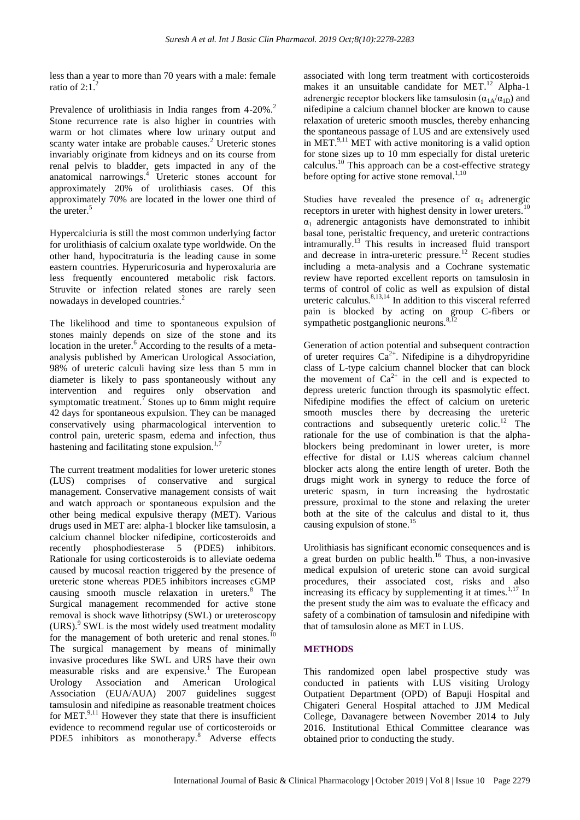less than a year to more than 70 years with a male: female ratio of  $2:1$ .

Prevalence of urolithiasis in India ranges from 4-20%.<sup>2</sup> Stone recurrence rate is also higher in countries with warm or hot climates where low urinary output and scanty water intake are probable causes.<sup>2</sup> Ureteric stones invariably originate from kidneys and on its course from renal pelvis to bladder, gets impacted in any of the anatomical narrowings. <sup>4</sup> Ureteric stones account for approximately 20% of urolithiasis cases. Of this approximately 70% are located in the lower one third of the ureter.<sup>5</sup>

Hypercalciuria is still the most common underlying factor for urolithiasis of calcium oxalate type worldwide. On the other hand, hypocitraturia is the leading cause in some eastern countries. Hyperuricosuria and hyperoxaluria are less frequently encountered metabolic risk factors. Struvite or infection related stones are rarely seen nowadays in developed countries.<sup>2</sup>

The likelihood and time to spontaneous expulsion of stones mainly depends on size of the stone and its location in the ureter.<sup>6</sup> According to the results of a metaanalysis published by American Urological Association, 98% of ureteric calculi having size less than 5 mm in diameter is likely to pass spontaneously without any intervention and requires only observation and symptomatic treatment.<sup> $\bar{\ }$ </sup> Stones up to 6mm might require 42 days for spontaneous expulsion. They can be managed conservatively using pharmacological intervention to control pain, ureteric spasm, edema and infection, thus hastening and facilitating stone expulsion. $1,7$ 

The current treatment modalities for lower ureteric stones (LUS) comprises of conservative and surgical management. Conservative management consists of wait and watch approach or spontaneous expulsion and the other being medical expulsive therapy (MET). Various drugs used in MET are: alpha-1 blocker like tamsulosin, a calcium channel blocker nifedipine, corticosteroids and recently phosphodiesterase 5 (PDE5) inhibitors. Rationale for using corticosteroids is to alleviate oedema caused by mucosal reaction triggered by the presence of ureteric stone whereas PDE5 inhibitors increases cGMP causing smooth muscle relaxation in ureters.<sup>8</sup> The Surgical management recommended for active stone removal is shock wave lithotripsy (SWL) or ureteroscopy (URS).<sup>9</sup> SWL is the most widely used treatment modality for the management of both ureteric and renal stones.<sup>10</sup> The surgical management by means of minimally invasive procedures like SWL and URS have their own measurable risks and are expensive.<sup>1</sup> The European Urology Association and American Urological Association (EUA/AUA) 2007 guidelines suggest tamsulosin and nifedipine as reasonable treatment choices for MET. $^{9,11}$  However they state that there is insufficient evidence to recommend regular use of corticosteroids or PDE5 inhibitors as monotherapy.<sup>8</sup> Adverse effects associated with long term treatment with corticosteroids makes it an unsuitable candidate for MET. $^{12}$  Alpha-1 adrenergic receptor blockers like tamsulosin  $(\alpha_{1A}/\alpha_{1D})$  and nifedipine a calcium channel blocker are known to cause relaxation of ureteric smooth muscles, thereby enhancing the spontaneous passage of LUS and are extensively used in MET. $9,11$  MET with active monitoring is a valid option for stone sizes up to 10 mm especially for distal ureteric calculus.<sup>10</sup> This approach can be a cost-effective strategy before opting for active stone removal. $1,10$ 

Studies have revealed the presence of  $\alpha_1$  adrenergic receptors in ureter with highest density in lower ureters.<sup>10</sup>  $\alpha_1$  adrenergic antagonists have demonstrated to inhibit basal tone, peristaltic frequency, and ureteric contractions intramurally.<sup>13</sup> This results in increased fluid transport and decrease in intra-ureteric pressure.<sup>12</sup> Recent studies including a meta-analysis and a Cochrane systematic review have reported excellent reports on tamsulosin in terms of control of colic as well as expulsion of distal ureteric calculus. $8,13,14$  In addition to this visceral referred pain is blocked by acting on group C-fibers or sympathetic postganglionic neurons. $8,12$ 

Generation of action potential and subsequent contraction of ureter requires  $Ca^{2+}$ . Nifedipine is a dihydropyridine class of L-type calcium channel blocker that can block the movement of  $Ca^{2+}$  in the cell and is expected to depress ureteric function through its spasmolytic effect. Nifedipine modifies the effect of calcium on ureteric smooth muscles there by decreasing the ureteric contractions and subsequently ureteric colic.<sup>12</sup> The rationale for the use of combination is that the alphablockers being predominant in lower ureter, is more effective for distal or LUS whereas calcium channel blocker acts along the entire length of ureter. Both the drugs might work in synergy to reduce the force of ureteric spasm, in turn increasing the hydrostatic pressure, proximal to the stone and relaxing the ureter both at the site of the calculus and distal to it, thus causing expulsion of stone.<sup>15</sup>

Urolithiasis has significant economic consequences and is a great burden on public health.<sup>16</sup> Thus, a non-invasive medical expulsion of ureteric stone can avoid surgical procedures, their associated cost, risks and also increasing its efficacy by supplementing it at times.<sup>1,17</sup> In the present study the aim was to evaluate the efficacy and safety of a combination of tamsulosin and nifedipine with that of tamsulosin alone as MET in LUS.

## **METHODS**

This randomized open label prospective study was conducted in patients with LUS visiting Urology Outpatient Department (OPD) of Bapuji Hospital and Chigateri General Hospital attached to JJM Medical College, Davanagere between November 2014 to July 2016. Institutional Ethical Committee clearance was obtained prior to conducting the study.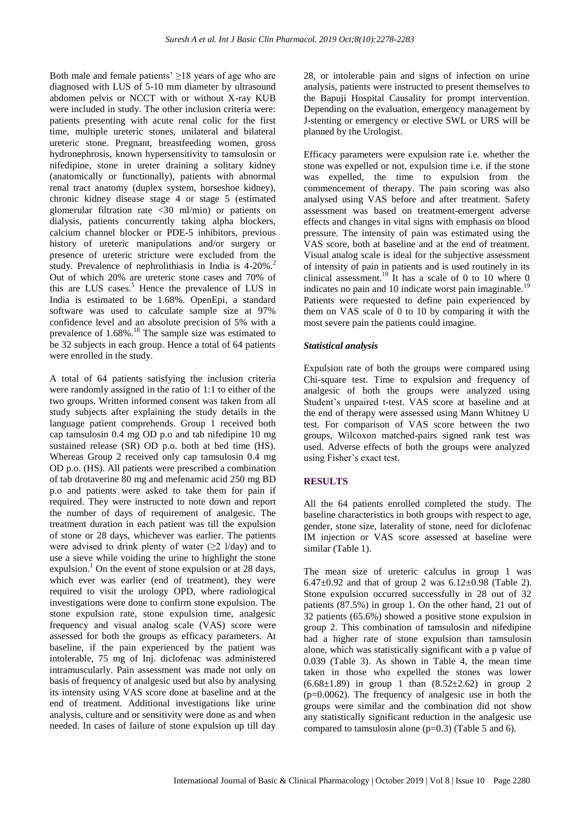Both male and female patients'  $\geq$ 18 years of age who are diagnosed with LUS of 5-10 mm diameter by ultrasound abdomen pelvis or NCCT with or without X-ray KUB were included in study. The other inclusion criteria were: patients presenting with acute renal colic for the first time, multiple ureteric stones, unilateral and bilateral ureteric stone. Pregnant, breastfeeding women, gross hydronephrosis, known hypersensitivity to tamsulosin or nifedipine, stone in ureter draining a solitary kidney (anatomically or functionally), patients with abnormal renal tract anatomy (duplex system, horseshoe kidney), chronic kidney disease stage 4 or stage 5 (estimated glomerular filtration rate <30 ml/min) or patients on dialysis, patients concurrently taking alpha blockers, calcium channel blocker or PDE-5 inhibitors, previous history of ureteric manipulations and/or surgery or presence of ureteric stricture were excluded from the study. Prevalence of nephrolithiasis in India is 4-20%.<sup>2</sup> Out of which 20% are ureteric stone cases and 70% of this are LUS cases. $<sup>5</sup>$  Hence the prevalence of LUS in</sup> India is estimated to be 1.68%. OpenEpi, a standard software was used to calculate sample size at 97% confidence level and an absolute precision of 5% with a prevalence of 1.68%.<sup>18</sup> The sample size was estimated to be 32 subjects in each group. Hence a total of 64 patients were enrolled in the study.

A total of 64 patients satisfying the inclusion criteria were randomly assigned in the ratio of 1:1 to either of the two groups. Written informed consent was taken from all study subjects after explaining the study details in the language patient comprehends. Group 1 received both cap tamsulosin 0.4 mg OD p.o and tab nifedipine 10 mg sustained release (SR) OD p.o. both at bed time (HS). Whereas Group 2 received only cap tamsulosin 0.4 mg OD p.o. (HS). All patients were prescribed a combination of tab drotaverine 80 mg and mefenamic acid 250 mg BD p.o and patients were asked to take them for pain if required. They were instructed to note down and report the number of days of requirement of analgesic. The treatment duration in each patient was till the expulsion of stone or 28 days, whichever was earlier. The patients were advised to drink plenty of water  $(\geq 2 \frac{1}{day})$  and to use a sieve while voiding the urine to highlight the stone expulsion.<sup>1</sup> On the event of stone expulsion or at 28 days, which ever was earlier (end of treatment), they were required to visit the urology OPD, where radiological investigations were done to confirm stone expulsion. The stone expulsion rate, stone expulsion time, analgesic frequency and visual analog scale (VAS) score were assessed for both the groups as efficacy parameters. At baseline, if the pain experienced by the patient was intolerable, 75 mg of Inj. diclofenac was administered intramuscularly. Pain assessment was made not only on basis of frequency of analgesic used but also by analysing its intensity using VAS score done at baseline and at the end of treatment. Additional investigations like urine analysis, culture and or sensitivity were done as and when needed. In cases of failure of stone expulsion up till day 28, or intolerable pain and signs of infection on urine analysis, patients were instructed to present themselves to the Bapuji Hospital Causality for prompt intervention. Depending on the evaluation, emergency management by J-stenting or emergency or elective SWL or URS will be planned by the Urologist.

Efficacy parameters were expulsion rate i.e. whether the stone was expelled or not, expulsion time i.e. if the stone was expelled, the time to expulsion from the commencement of therapy. The pain scoring was also analysed using VAS before and after treatment. Safety assessment was based on treatment-emergent adverse effects and changes in vital signs with emphasis on blood pressure. The intensity of pain was estimated using the VAS score, both at baseline and at the end of treatment. Visual analog scale is ideal for the subjective assessment of intensity of pain in patients and is used routinely in its clinical assessment.<sup>19</sup> It has a scale of 0 to 10 where 0 indicates no pain and 10 indicate worst pain imaginable.<sup>19</sup> Patients were requested to define pain experienced by them on VAS scale of 0 to 10 by comparing it with the most severe pain the patients could imagine.

#### *Statistical analysis*

Expulsion rate of both the groups were compared using Chi-square test. Time to expulsion and frequency of analgesic of both the groups were analyzed using Student's unpaired t-test. VAS score at baseline and at the end of therapy were assessed using Mann Whitney U test. For comparison of VAS score between the two groups, Wilcoxon matched-pairs signed rank test was used. Adverse effects of both the groups were analyzed using Fisher's exact test.

## **RESULTS**

All the 64 patients enrolled completed the study. The baseline characteristics in both groups with respect to age, gender, stone size, laterality of stone, need for diclofenac IM injection or VAS score assessed at baseline were similar (Table 1).

The mean size of ureteric calculus in group 1 was 6.47 $\pm$ 0.92 and that of group 2 was 6.12 $\pm$ 0.98 (Table 2). Stone expulsion occurred successfully in 28 out of 32 patients (87.5%) in group 1. On the other hand, 21 out of 32 patients (65.6%) showed a positive stone expulsion in group 2. This combination of tamsulosin and nifedipine had a higher rate of stone expulsion than tamsulosin alone, which was statistically significant with a p value of 0.039 (Table 3). As shown in Table 4, the mean time taken in those who expelled the stones was lower (6.68 $\pm$ 1.89) in group 1 than (8.52 $\pm$ 2.62) in group 2 (p=0.0062). The frequency of analgesic use in both the groups were similar and the combination did not show any statistically significant reduction in the analgesic use compared to tamsulosin alone (p=0.3) (Table 5 and 6).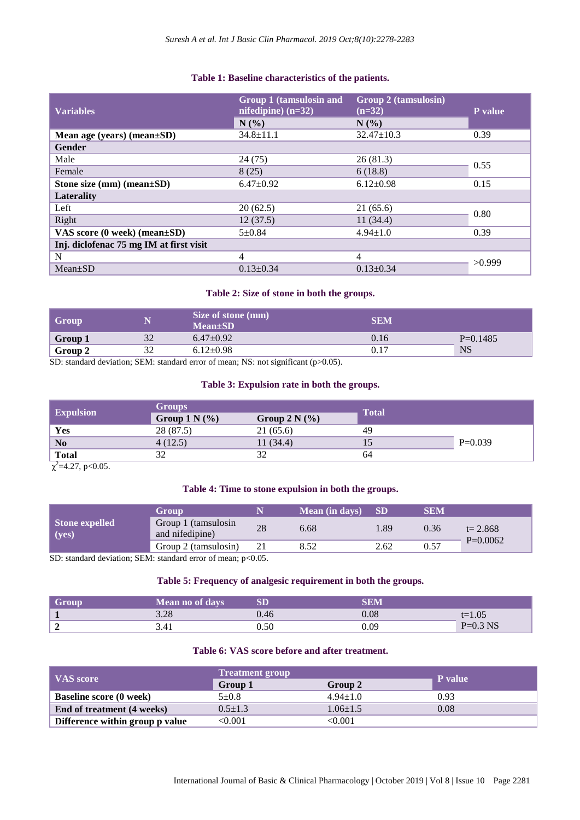## **Table 1: Baseline characteristics of the patients.**

| <b>Variables</b>                        | Group 1 (tamsulosin and<br>nifedipine) $(n=32)$<br>N(% | <b>Group 2 (tamsulosin)</b><br>$(n=32)$<br>N(%) | P value |
|-----------------------------------------|--------------------------------------------------------|-------------------------------------------------|---------|
| Mean age (years) (mean $\pm SD$ )       | $34.8 \pm 11.1$                                        | $32.47 \pm 10.3$                                | 0.39    |
| <b>Gender</b>                           |                                                        |                                                 |         |
| Male                                    | 24 (75)                                                | 26(81.3)                                        | 0.55    |
| Female                                  | 8(25)                                                  | 6(18.8)                                         |         |
| Stone size $(mm)$ $(mean \pm SD)$       | $6.47 \pm 0.92$                                        | $6.12 \pm 0.98$                                 | 0.15    |
| Laterality                              |                                                        |                                                 |         |
| Left                                    | 20(62.5)                                               | 21(65.6)                                        | 0.80    |
| Right                                   | 12(37.5)                                               | 11(34.4)                                        |         |
| VAS score $(0$ week) (mean $\pm SD$ )   | $5 + 0.84$                                             | $4.94 \pm 1.0$                                  | 0.39    |
| Inj. diclofenac 75 mg IM at first visit |                                                        |                                                 |         |
| N                                       | 4                                                      | 4                                               |         |
| $Mean+SD$                               | $0.13 \pm 0.34$                                        | $0.13 \pm 0.34$                                 | >0.999  |

## **Table 2: Size of stone in both the groups.**

| Group   |           | Size of stone (mm)<br>$Mean \pm SD$ | <b>SEM</b> |            |
|---------|-----------|-------------------------------------|------------|------------|
| Group 1 | 20<br>ے د | $6.47 \pm 0.92$                     | 0.16       | $P=0.1485$ |
| Group 2 |           | $6.12 \pm 0.98$                     | 0.17       | <b>NS</b>  |

SD: standard deviation; SEM: standard error of mean; NS: not significant (p>0.05).

#### **Table 3: Expulsion rate in both the groups.**

| <b>Expulsion</b> | <b>Groups</b>   |                 | <b>Total</b> |           |
|------------------|-----------------|-----------------|--------------|-----------|
|                  | Group $1 N(\%)$ | Group $2 N$ (%) |              |           |
| Yes              | 28 (87.5)       | 21 (65.6)       | 49           |           |
| N <sub>0</sub>   | 4(12.5)         | 11(34.4)        |              | $P=0.039$ |
| <b>Total</b>     | 30              | 32              | 64           |           |

 $\chi^2$ =4.27, p<0.05.

## **Table 4: Time to stone expulsion in both the groups.**

| <b>Stone expelled</b><br>(yes)                                  | <b>Group</b>                           |    | <b>Mean</b> (in days) | <b>SD</b> | SEM  |                           |
|-----------------------------------------------------------------|----------------------------------------|----|-----------------------|-----------|------|---------------------------|
|                                                                 | Group 1 (tamsulosin<br>and nifedipine) | 28 | 6.68                  | 89        | 0.36 | $t = 2.868$<br>$P=0.0062$ |
|                                                                 | Group 2 (tamsulosin)                   |    | 8.52                  | 2.62      | 0.57 |                           |
| $SD1$ standard deviation: SEM, standard error of mean: $n<0.05$ |                                        |    |                       |           |      |                           |

SD: standard deviation; SEM: standard error of mean; p<0.05.

## **Table 5: Frequency of analgesic requirement in both the groups.**

| Group | <b>Mean no of davs</b> |      |      |            |
|-------|------------------------|------|------|------------|
|       | 2.20<br>3.20           |      | 0.08 | $t=1.05$   |
|       | 3.41                   | 0.50 | 0.09 | $P=0.3$ NS |

## **Table 6: VAS score before and after treatment.**

|                                 | <b>Treatment group</b> |                |                |
|---------------------------------|------------------------|----------------|----------------|
| <b>VAS</b> score                | Group 1                | Group 2        | <b>P</b> value |
| <b>Baseline score (0 week)</b>  | $5 + 0.8$              | $4.94 \pm 1.0$ | 0.93           |
| End of treatment (4 weeks)      | $0.5 \pm 1.3$          | $1.06 + 1.5$   | 0.08           |
| Difference within group p value | $<\!\!0.001$           | <0.001         |                |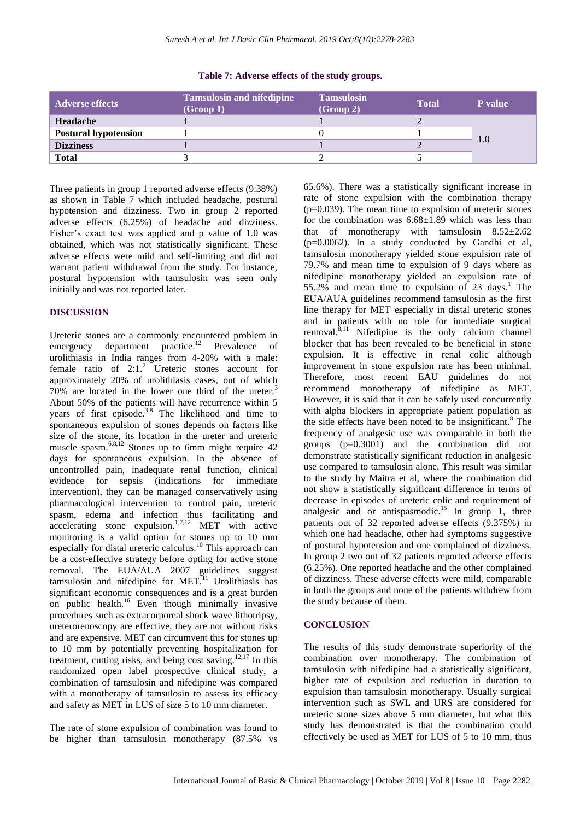| <b>Adverse effects</b>      | <b>Tamsulosin and nifedipine</b><br>(Group 1) | <b>Tamsulosin</b><br>(Group 2) | <b>Total</b> | P value |
|-----------------------------|-----------------------------------------------|--------------------------------|--------------|---------|
| Headache                    |                                               |                                |              |         |
| <b>Postural hypotension</b> |                                               |                                |              |         |
| <b>Dizziness</b>            |                                               |                                |              | 1.0     |
| <b>Total</b>                |                                               |                                |              |         |

#### **Table 7: Adverse effects of the study groups.**

Three patients in group 1 reported adverse effects (9.38%) as shown in Table 7 which included headache, postural hypotension and dizziness. Two in group 2 reported adverse effects (6.25%) of headache and dizziness. Fisher's exact test was applied and p value of 1.0 was obtained, which was not statistically significant. These adverse effects were mild and self-limiting and did not warrant patient withdrawal from the study. For instance, postural hypotension with tamsulosin was seen only initially and was not reported later.

#### **DISCUSSION**

Ureteric stones are a commonly encountered problem in emergency department practice.<sup>12</sup> Prevalence of urolithiasis in India ranges from 4-20% with a male: female ratio of  $2:1.^2$  Ureteric stones account for approximately 20% of urolithiasis cases, out of which 70% are located in the lower one third of the ureter.<sup>3</sup> About 50% of the patients will have recurrence within 5 years of first episode.<sup>3,8</sup> The likelihood and time to spontaneous expulsion of stones depends on factors like size of the stone, its location in the ureter and ureteric muscle spasm. $6,8,12$  Stones up to 6mm might require 42 days for spontaneous expulsion. In the absence of uncontrolled pain, inadequate renal function, clinical evidence for sepsis (indications for immediate intervention), they can be managed conservatively using pharmacological intervention to control pain, ureteric spasm, edema and infection thus facilitating and  $\text{accelerating}$  stone expulsion.<sup>1,7,12</sup> MET with active monitoring is a valid option for stones up to 10 mm especially for distal ureteric calculus.<sup>10</sup> This approach can be a cost-effective strategy before opting for active stone removal. The EUA/AUA 2007 guidelines suggest tamsulosin and nifedipine for  $MET$ <sup>11</sup> Urolithiasis has significant economic consequences and is a great burden on public health.<sup>16</sup> Even though minimally invasive procedures such as extracorporeal shock wave lithotripsy, ureterorenoscopy are effective, they are not without risks and are expensive. MET can circumvent this for stones up to 10 mm by potentially preventing hospitalization for treatment, cutting risks, and being cost saving.<sup>12,17</sup> In this randomized open label prospective clinical study, a combination of tamsulosin and nifedipine was compared with a monotherapy of tamsulosin to assess its efficacy and safety as MET in LUS of size 5 to 10 mm diameter.

The rate of stone expulsion of combination was found to be higher than tamsulosin monotherapy (87.5% vs

65.6%). There was a statistically significant increase in rate of stone expulsion with the combination therapy  $(p=0.039)$ . The mean time to expulsion of ureteric stones for the combination was  $6.68\pm1.89$  which was less than that of monotherapy with tamsulosin  $8.52 \pm 2.62$ (p=0.0062). In a study conducted by Gandhi et al, tamsulosin monotherapy yielded stone expulsion rate of 79.7% and mean time to expulsion of 9 days where as nifedipine monotherapy yielded an expulsion rate of 55.2% and mean time to expulsion of 23 days.<sup>1</sup> The EUA/AUA guidelines recommend tamsulosin as the first line therapy for MET especially in distal ureteric stones and in patients with no role for immediate surgical removal. ${}^{\hat{8},11}$  Nifedipine is the only calcium channel blocker that has been revealed to be beneficial in stone expulsion. It is effective in renal colic although improvement in stone expulsion rate has been minimal. Therefore, most recent EAU guidelines do not recommend monotherapy of nifedipine as MET. However, it is said that it can be safely used concurrently with alpha blockers in appropriate patient population as the side effects have been noted to be insignificant.<sup>8</sup> The frequency of analgesic use was comparable in both the groups (p=0.3001) and the combination did not demonstrate statistically significant reduction in analgesic use compared to tamsulosin alone. This result was similar to the study by Maitra et al, where the combination did not show a statistically significant difference in terms of decrease in episodes of ureteric colic and requirement of analgesic and or antispasmodic.<sup>15</sup> In group 1, three patients out of 32 reported adverse effects (9.375%) in which one had headache, other had symptoms suggestive of postural hypotension and one complained of dizziness. In group 2 two out of 32 patients reported adverse effects (6.25%). One reported headache and the other complained of dizziness. These adverse effects were mild, comparable in both the groups and none of the patients withdrew from the study because of them.

#### **CONCLUSION**

The results of this study demonstrate superiority of the combination over monotherapy. The combination of tamsulosin with nifedipine had a statistically significant, higher rate of expulsion and reduction in duration to expulsion than tamsulosin monotherapy. Usually surgical intervention such as SWL and URS are considered for ureteric stone sizes above 5 mm diameter, but what this study has demonstrated is that the combination could effectively be used as MET for LUS of 5 to 10 mm, thus